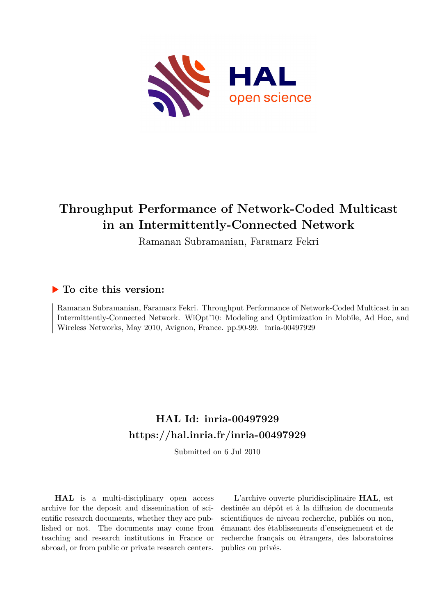

## **Throughput Performance of Network-Coded Multicast in an Intermittently-Connected Network**

Ramanan Subramanian, Faramarz Fekri

### **To cite this version:**

Ramanan Subramanian, Faramarz Fekri. Throughput Performance of Network-Coded Multicast in an Intermittently-Connected Network. WiOpt'10: Modeling and Optimization in Mobile, Ad Hoc, and Wireless Networks, May 2010, Avignon, France. pp.90-99. inria-00497929

## **HAL Id: inria-00497929 <https://hal.inria.fr/inria-00497929>**

Submitted on 6 Jul 2010

**HAL** is a multi-disciplinary open access archive for the deposit and dissemination of scientific research documents, whether they are published or not. The documents may come from teaching and research institutions in France or abroad, or from public or private research centers.

L'archive ouverte pluridisciplinaire **HAL**, est destinée au dépôt et à la diffusion de documents scientifiques de niveau recherche, publiés ou non, émanant des établissements d'enseignement et de recherche français ou étrangers, des laboratoires publics ou privés.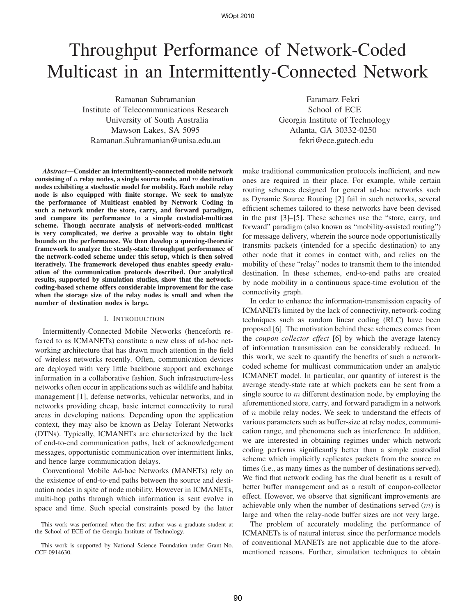# Throughput Performance of Network-Coded Multicast in an Intermittently-Connected Network

Ramanan Subramanian Institute of Telecommunications Research University of South Australia Mawson Lakes, SA 5095 Ramanan.Subramanian@unisa.edu.au

Faramarz Fekri School of ECE Georgia Institute of Technology Atlanta, GA 30332-0250 fekri@ece.gatech.edu

*Abstract***—Consider an intermittently-connected mobile network consisting of** n **relay nodes, a single source node, and** m **destination nodes exhibiting a stochastic model for mobility. Each mobile relay node is also equipped with finite storage. We seek to analyze the performance of Multicast enabled by Network Coding in such a network under the store, carry, and forward paradigm, and compare its performance to a simple custodial-multicast scheme. Though accurate analysis of network-coded multicast is very complicated, we derive a provable way to obtain tight bounds on the performance. We then develop a queuing-theoretic framework to analyze the steady-state throughput performance of the network-coded scheme under this setup, which is then solved iteratively. The framework developed thus enables speedy evaluation of the communication protocols described. Our analytical results, supported by simulation studies, show that the networkcoding-based scheme offers considerable improvement for the case when the storage size of the relay nodes is small and when the number of destination nodes is large.**

#### I. INTRODUCTION

Intermittently-Connected Mobile Networks (henceforth referred to as ICMANETs) constitute a new class of ad-hoc networking architecture that has drawn much attention in the field of wireless networks recently. Often, communication devices are deployed with very little backbone support and exchange information in a collaborative fashion. Such infrastructure-less networks often occur in applications such as wildlife and habitat management [1], defense networks, vehicular networks, and in networks providing cheap, basic internet connectivity to rural areas in developing nations. Depending upon the application context, they may also be known as Delay Tolerant Networks (DTNs). Typically, ICMANETs are characterized by the lack of end-to-end communication paths, lack of acknowledgement messages, opportunistic communication over intermittent links, and hence large communication delays.

Conventional Mobile Ad-hoc Networks (MANETs) rely on the existence of end-to-end paths between the source and destination nodes in spite of node mobility. However in ICMANETs, multi-hop paths through which information is sent evolve in space and time. Such special constraints posed by the latter

This work was performed when the first author was a graduate student at the School of ECE of the Georgia Institute of Technology.

This work is supported by National Science Foundation under Grant No. CCF-0914630.

make traditional communication protocols inefficient, and new ones are required in their place. For example, while certain routing schemes designed for general ad-hoc networks such as Dynamic Source Routing [2] fail in such networks, several efficient schemes tailored to these networks have been devised in the past [3]–[5]. These schemes use the "store, carry, and forward" paradigm (also known as "mobility-assisted routing") for message delivery, wherein the source node opportunistically transmits packets (intended for a specific destination) to any other node that it comes in contact with, and relies on the mobility of these "relay" nodes to transmit them to the intended destination. In these schemes, end-to-end paths are created by node mobility in a continuous space-time evolution of the connectivity graph.

In order to enhance the information-transmission capacity of ICMANETs limited by the lack of connectivity, network-coding techniques such as random linear coding (RLC) have been proposed [6]. The motivation behind these schemes comes from the *coupon collector effect* [6] by which the average latency of information transmission can be considerably reduced. In this work, we seek to quantify the benefits of such a networkcoded scheme for multicast communication under an analytic ICMANET model. In particular, our quantity of interest is the average steady-state rate at which packets can be sent from a single source to  $m$  different destination node, by employing the aforementioned store, carry, and forward paradigm in a network of  $n$  mobile relay nodes. We seek to understand the effects of various parameters such as buffer-size at relay nodes, communication range, and phenomena such as interference. In addition, we are interested in obtaining regimes under which network coding performs significantly better than a simple custodial scheme which implicitly replicates packets from the source  $m$ times (i.e., as many times as the number of destinations served). We find that network coding has the dual benefit as a result of better buffer management and as a result of coupon-collector effect. However, we observe that significant improvements are achievable only when the number of destinations served  $(m)$  is large and when the relay-node buffer sizes are not very large.

The problem of accurately modeling the performance of ICMANETs is of natural interest since the performance models of conventional MANETs are not applicable due to the aforementioned reasons. Further, simulation techniques to obtain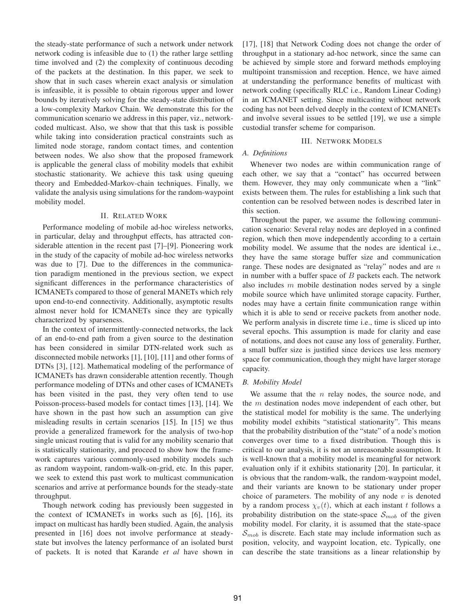the steady-state performance of such a network under network network coding is infeasible due to (1) the rather large settling time involved and (2) the complexity of continuous decoding of the packets at the destination. In this paper, we seek to show that in such cases wherein exact analysis or simulation is infeasible, it is possible to obtain rigorous upper and lower bounds by iteratively solving for the steady-state distribution of a low-complexity Markov Chain. We demonstrate this for the communication scenario we address in this paper, viz., networkcoded multicast. Also, we show that that this task is possible while taking into consideration practical constraints such as limited node storage, random contact times, and contention between nodes. We also show that the proposed framework is applicable the general class of mobility models that exhibit stochastic stationarity. We achieve this task using queuing theory and Embedded-Markov-chain techniques. Finally, we validate the analysis using simulations for the random-waypoint mobility model.

#### II. RELATED WORK

Performance modeling of mobile ad-hoc wireless networks, in particular, delay and throughput effects, has attracted considerable attention in the recent past [7]–[9]. Pioneering work in the study of the capacity of mobile ad-hoc wireless networks was due to [7]. Due to the differences in the communication paradigm mentioned in the previous section, we expect significant differences in the performance characteristics of ICMANETs compared to those of general MANETs which rely upon end-to-end connectivity. Additionally, asymptotic results almost never hold for ICMANETs since they are typically characterized by sparseness.

In the context of intermittently-connected networks, the lack of an end-to-end path from a given source to the destination has been considered in similar DTN-related work such as disconnected mobile networks [1], [10], [11] and other forms of DTNs [3], [12]. Mathematical modeling of the performance of ICMANETs has drawn considerable attention recently. Though performance modeling of DTNs and other cases of ICMANETs has been visited in the past, they very often tend to use Poisson-process-based models for contact times [13], [14]. We have shown in the past how such an assumption can give misleading results in certain scenarios [15]. In [15] we thus provide a generalized framework for the analysis of two-hop single unicast routing that is valid for any mobility scenario that is statistically stationarity, and proceed to show how the framework captures various commonly-used mobility models such as random waypoint, random-walk-on-grid, etc. In this paper, we seek to extend this past work to multicast communication scenarios and arrive at performance bounds for the steady-state throughput.

Though network coding has previously been suggested in the context of ICMANETs in works such as [6], [16], its impact on multicast has hardly been studied. Again, the analysis presented in [16] does not involve performance at steadystate but involves the latency performance of an isolated burst of packets. It is noted that Karande *et al* have shown in [17], [18] that Network Coding does not change the order of throughput in a stationary ad-hoc network, since the same can be achieved by simple store and forward methods employing multipoint transmission and reception. Hence, we have aimed at understanding the performance benefits of multicast with network coding (specifically RLC i.e., Random Linear Coding) in an ICMANET setting. Since multicasting without network coding has not been delved deeply in the context of ICMANETs and involve several issues to be settled [19], we use a simple custodial transfer scheme for comparison.

#### III. NETWORK MODELS

#### *A. Definitions*

Whenever two nodes are within communication range of each other, we say that a "contact" has occurred between them. However, they may only communicate when a "link" exists between them. The rules for establishing a link such that contention can be resolved between nodes is described later in this section.

Throughout the paper, we assume the following communication scenario: Several relay nodes are deployed in a confined region, which then move independently according to a certain mobility model. We assume that the nodes are identical i.e., they have the same storage buffer size and communication range. These nodes are designated as "relay" nodes and are  $n$ in number with a buffer space of  $B$  packets each. The network also includes  $m$  mobile destination nodes served by a single mobile source which have unlimited storage capacity. Further, nodes may have a certain finite communication range within which it is able to send or receive packets from another node. We perform analysis in discrete time i.e., time is sliced up into several epochs. This assumption is made for clarity and ease of notations, and does not cause any loss of generality. Further, a small buffer size is justified since devices use less memory space for communication, though they might have larger storage capacity.

#### *B. Mobility Model*

We assume that the  $n$  relay nodes, the source node, and the m destination nodes move independent of each other, but the statistical model for mobility is the same. The underlying mobility model exhibits "statistical stationarity". This means that the probability distribution of the "state" of a node's motion converges over time to a fixed distribution. Though this is critical to our analysis, it is not an unreasonable assumption. It is well-known that a mobility model is meaningful for network evaluation only if it exhibits stationarity [20]. In particular, it is obvious that the random-walk, the random-waypoint model, and their variants are known to be stationary under proper choice of parameters. The mobility of any node  $v$  is denoted by a random process  $\chi_v(t)$ , which at each instant t follows a probability distribution on the state-space  $S_{mob}$  of the given mobility model. For clarity, it is assumed that the state-space  $S_{mob}$  is discrete. Each state may include information such as position, velocity, and waypoint location, etc. Typically, one can describe the state transitions as a linear relationship by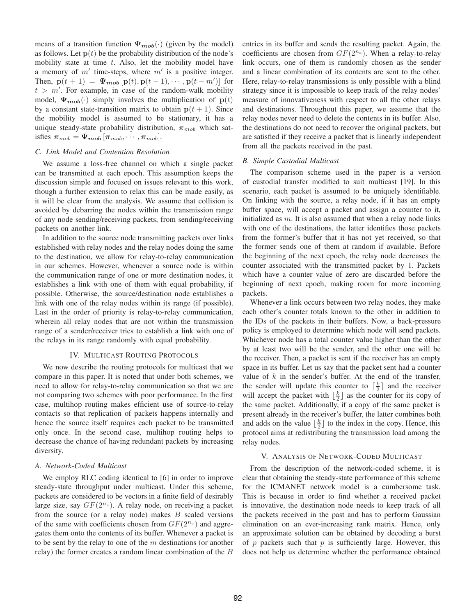means of a transition function  $\Psi_{mob}(\cdot)$  (given by the model) as follows. Let  $p(t)$  be the probability distribution of the node's mobility state at time  $t$ . Also, let the mobility model have a memory of  $m'$  time-steps, where  $m'$  is a positive integer. Then,  $\mathbf{p}(t+1) = \Psi_{\text{mob}}[\mathbf{p}(t), \mathbf{p}(t-1), \cdots, \mathbf{p}(t-m')]$  for  $t > m'$ . For example, in case of the random-walk mobility model,  $\Psi_{\text{mob}}(\cdot)$  simply involves the multiplication of  $p(t)$ by a constant state-transition matrix to obtain  $p(t + 1)$ . Since the mobility model is assumed to be stationary, it has a unique steady-state probability distribution,  $\pi_{mob}$  which satisfies  $\boldsymbol{\pi}_{mob} = \boldsymbol{\Psi}_{mob}[\boldsymbol{\pi}_{mob}, \cdots, \boldsymbol{\pi}_{mob}].$ 

#### *C. Link Model and Contention Resolution*

We assume a loss-free channel on which a single packet can be transmitted at each epoch. This assumption keeps the discussion simple and focused on issues relevant to this work, though a further extension to relax this can be made easily, as it will be clear from the analysis. We assume that collision is avoided by debarring the nodes within the transmission range of any node sending/receiving packets, from sending/receiving packets on another link.

In addition to the source node transmitting packets over links established with relay nodes and the relay nodes doing the same to the destination, we allow for relay-to-relay communication in our schemes. However, whenever a source node is within the communication range of one or more destination nodes, it establishes a link with one of them with equal probability, if possible. Otherwise, the source/destination node establishes a link with one of the relay nodes within its range (if possible). Last in the order of priority is relay-to-relay communication, wherein all relay nodes that are not within the transmission range of a sender/receiver tries to establish a link with one of the relays in its range randomly with equal probability.

#### IV. MULTICAST ROUTING PROTOCOLS

We now describe the routing protocols for multicast that we compare in this paper. It is noted that under both schemes, we need to allow for relay-to-relay communication so that we are not comparing two schemes with poor performance. In the first case, multihop routing makes efficient use of source-to-relay contacts so that replication of packets happens internally and hence the source itself requires each packet to be transmitted only once. In the second case, multihop routing helps to decrease the chance of having redundant packets by increasing diversity.

#### *A. Network-Coded Multicast*

We employ RLC coding identical to [6] in order to improve steady-state throughput under multicast. Under this scheme, packets are considered to be vectors in a finite field of desirably large size, say  $GF(2^{n_c})$ . A relay node, on receiving a packet from the source (or a relay node) makes  $B$  scaled versions of the same with coefficients chosen from  $GF(2^{n_c})$  and aggregates them onto the contents of its buffer. Whenever a packet is to be sent by the relay to one of the  $m$  destinations (or another relay) the former creates a random linear combination of the B entries in its buffer and sends the resulting packet. Again, the coefficients are chosen from  $GF(2^{n_c})$ . When a relay-to-relay link occurs, one of them is randomly chosen as the sender and a linear combination of its contents are sent to the other. Here, relay-to-relay transmissions is only possible with a blind strategy since it is impossible to keep track of the relay nodes' measure of innovativeness with respect to all the other relays and destinations. Throughout this paper, we assume that the relay nodes never need to delete the contents in its buffer. Also, the destinations do not need to recover the original packets, but are satisfied if they receive a packet that is linearly independent from all the packets received in the past.

#### *B. Simple Custodial Multicast*

The comparison scheme used in the paper is a version of custodial transfer modified to suit multicast [19]. In this scenario, each packet is assumed to be uniquely identifiable. On linking with the source, a relay node, if it has an empty buffer space, will accept a packet and assign a counter to it, initialized as  $m$ . It is also assumed that when a relay node links with one of the destinations, the latter identifies those packets from the former's buffer that it has not yet received, so that the former sends one of them at random if available. Before the beginning of the next epoch, the relay node decreases the counter associated with the transmitted packet by 1. Packets which have a counter value of zero are discarded before the beginning of next epoch, making room for more incoming packets.

Whenever a link occurs between two relay nodes, they make each other's counter totals known to the other in addition to the IDs of the packets in their buffers. Now, a back-pressure policy is employed to determine which node will send packets. Whichever node has a total counter value higher than the other by at least two will be the sender, and the other one will be the receiver. Then, a packet is sent if the receiver has an empty space in its buffer. Let us say that the packet sent had a counter value of  $k$  in the sender's buffer. At the end of the transfer, the sender will update this counter to  $\lceil \frac{k}{2} \rceil$  and the receiver will accept the packet with  $\lfloor \frac{k}{2} \rfloor$  as the counter for its copy of the same packet. Additionally, if a copy of the same packet is present already in the receiver's buffer, the latter combines both and adds on the value  $\lfloor \frac{k}{2} \rfloor$  to the index in the copy. Hence, this protocol aims at redistributing the transmission load among the relay nodes.

#### V. ANALYSIS OF NETWORK-CODED MULTICAST

From the description of the network-coded scheme, it is clear that obtaining the steady-state performance of this scheme for the ICMANET network model is a cumbersome task. This is because in order to find whether a received packet is innovative, the destination node needs to keep track of all the packets received in the past and has to perform Gaussian elimination on an ever-increasing rank matrix. Hence, only an approximate solution can be obtained by decoding a burst of  $p$  packets such that  $p$  is sufficiently large. However, this does not help us determine whether the performance obtained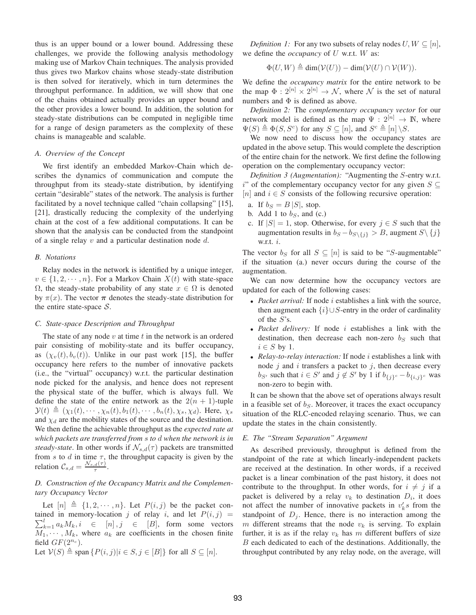thus is an upper bound or a lower bound. Addressing these challenges, we provide the following analysis methodology making use of Markov Chain techniques. The analysis provided thus gives two Markov chains whose steady-state distribution is then solved for iteratively, which in turn determines the throughput performance. In addition, we will show that one of the chains obtained actually provides an upper bound and the other provides a lower bound. In addition, the solution for steady-state distributions can be computed in negligible time for a range of design parameters as the complexity of these chains is manageable and scalable.

#### *A. Overview of the Concept*

We first identify an embedded Markov-Chain which describes the dynamics of communication and compute the throughput from its steady-state distribution, by identifying certain "desirable" states of the network. The analysis is further facilitated by a novel technique called "chain collapsing" [15], [21], drastically reducing the complexity of the underlying chain at the cost of a few additional computations. It can be shown that the analysis can be conducted from the standpoint of a single relay  $v$  and a particular destination node  $d$ .

#### *B. Notations*

Relay nodes in the network is identified by a unique integer,  $v \in \{1, 2, \dots, n\}$ . For a Markov Chain  $X(t)$  with state-space  $\Omega$ , the steady-state probability of any state  $x \in \Omega$  is denoted by  $\pi(x)$ . The vector  $\pi$  denotes the steady-state distribution for the entire state-space  $S$ .

#### *C. State-space Description and Throughput*

The state of any node  $v$  at time  $t$  in the network is an ordered pair consisting of mobility-state and its buffer occupancy, as  $(\chi_v(t), b_v(t))$ . Unlike in our past work [15], the buffer occupancy here refers to the number of innovative packets (i.e., the "virtual" occupancy) w.r.t. the particular destination node picked for the analysis, and hence does not represent the physical state of the buffer, which is always full. We define the state of the entire network as the  $2(n + 1)$ -tuple  $\mathcal{Y}(t) \triangleq (\chi_1(t), \cdots, \chi_n(t), b_1(t), \cdots, b_n(t), \chi_s, \chi_d)$ . Here,  $\chi_s$ and  $\chi_d$  are the mobility states of the source and the destination. We then define the achievable throughput as the *expected rate at which packets are transferred from* s *to* d *when the network is in steady-state*. In other words if  $\mathcal{N}_{s,d}(\tau)$  packets are transmitted from s to d in time  $\tau$ , the throughput capacity is given by the relation  $\mathcal{C}_{s,d} = \frac{\mathcal{N}_{s,d}(\tau)}{\tau}$  $\frac{d(T)}{\tau}$ .

#### *D. Construction of the Occupancy Matrix and the Complementary Occupancy Vector*

Let  $[n] \triangleq \{1, 2, \dots, n\}$ . Let  $P(i, j)$  be the packet con- $\sum_{k=1}^{l} a_k M_k$ ,  $i \in [n], j \in [B]$ , form some vectors tained in memory-location j of relay i, and let  $P(i, j)$  =  $M_1, \dots, M_k$ , where  $a_k$  are coefficients in the chosen finite field  $GF(2^{n_c})$ .

Let  $V(S) \triangleq$  span  $\{P(i, j)|i \in S, j \in [B]\}$  for all  $S \subseteq [n]$ .

*Definition 1:* For any two subsets of relay nodes  $U, W \subseteq [n]$ , we define the *occupancy* of U w.r.t. W as:

$$
\Phi(U, W) \triangleq \dim(\mathcal{V}(U)) - \dim(\mathcal{V}(U) \cap \mathcal{V}(W)).
$$

We define the *occupancy matrix* for the entire network to be the map  $\Phi: 2^{[n]} \times 2^{[n]} \to \mathcal{N}$ , where  $\mathcal N$  is the set of natural numbers and  $\Phi$  is defined as above.

*Definition 2:* The *complementary occupancy vector* for our network model is defined as the map  $\Psi : 2^{[n]} \to \mathbb{N}$ , where  $\Psi(S) \triangleq \Phi(S, S^c)$  for any  $S \subseteq [n]$ , and  $S^c \triangleq [n] \setminus S$ .

We now need to discuss how the occupancy states are updated in the above setup. This would complete the description of the entire chain for the network. We first define the following operation on the complementary occupancy vector:

*Definition 3 (Augmentation):* "Augmenting the S-entry w.r.t. i" of the complementary occupancy vector for any given  $S \subseteq$ [n] and  $i \in S$  consists of the following recursive operation:

- a. If  $b_S = B |S|$ , stop.
- b. Add 1 to  $b_S$ , and (c.)
- c. If  $|S| = 1$ , stop. Otherwise, for every  $j \in S$  such that the augmentation results in  $b_S - b_{S \setminus \{j\}} > B$ , augment  $S \setminus \{j\}$ w.r.t.  $i$ .

The vector  $b_S$  for all  $S \subseteq [n]$  is said to be "S-augmentable" if the situation (a.) never occurs during the course of the augmentation.

We can now determine how the occupancy vectors are updated for each of the following cases:

- *Packet arrival:* If node *i* establishes a link with the source, then augment each  $\{i\} \cup S$ -entry in the order of cardinality of the S's.
- *Packet delivery:* If node i establishes a link with the destination, then decrease each non-zero  $b<sub>S</sub>$  such that  $i \in S$  by 1.
- *Relay-to-relay interaction:* If node *i* establishes a link with node  $j$  and  $i$  transfers a packet to  $j$ , then decrease every  $b_{S'}$  such that  $i \in S'$  and  $j \notin S'$  by 1 if  $b_{\{j\}^c} - b_{\{i,j\}^c}$  was non-zero to begin with.

It can be shown that the above set of operations always result in a feasible set of  $b<sub>S</sub>$ . Moreover, it traces the exact occupancy situation of the RLC-encoded relaying scenario. Thus, we can update the states in the chain consistently.

#### *E. The "Stream Separation" Argument*

As described previously, throughput is defined from the standpoint of the rate at which linearly-independent packets are received at the destination. In other words, if a received packet is a linear combination of the past history, it does not contribute to the throughput. In other words, for  $i \neq j$  if a packet is delivered by a relay  $v_k$  to destination  $D_i$ , it does not affect the number of innovative packets in  $v'_k s$  from the standpoint of  $D_j$ . Hence, there is no interaction among the m different streams that the node  $v_k$  is serving. To explain further, it is as if the relay  $v_k$  has m different buffers of size B each dedicated to each of the destinations. Additionally, the throughput contributed by any relay node, on the average, will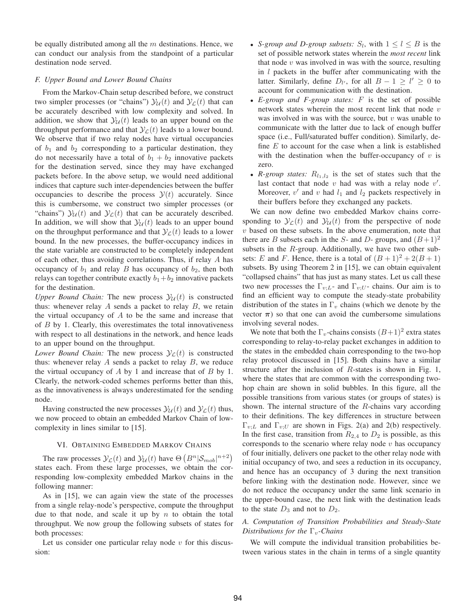be equally distributed among all the  $m$  destinations. Hence, we can conduct our analysis from the standpoint of a particular destination node served.

#### *F. Upper Bound and Lower Bound Chains*

From the Markov-Chain setup described before, we construct two simpler processes (or "chains")  $\mathcal{Y}_{\mathcal{U}}(t)$  and  $\mathcal{Y}_{\mathcal{L}}(t)$  that can be accurately described with low complexity and solved. In addition, we show that  $\mathcal{Y}_{\mathcal{U}}(t)$  leads to an upper bound on the throughput performance and that  $\mathcal{Y}_{\mathcal{L}}(t)$  leads to a lower bound. We observe that if two relay nodes have virtual occupancies of  $b_1$  and  $b_2$  corresponding to a particular destination, they do not necessarily have a total of  $b_1 + b_2$  innovative packets for the destination served, since they may have exchanged packets before. In the above setup, we would need additional indices that capture such inter-dependencies between the buffer occupancies to describe the process  $\mathcal{Y}(t)$  accurately. Since this is cumbersome, we construct two simpler processes (or "chains")  $\mathcal{Y}_{\mathcal{U}}(t)$  and  $\mathcal{Y}_{\mathcal{L}}(t)$  that can be accurately described. In addition, we will show that  $\mathcal{Y}_{\mathcal{U}}(t)$  leads to an upper bound on the throughput performance and that  $\mathcal{Y}_c(t)$  leads to a lower bound. In the new processes, the buffer-occupancy indices in the state variable are constructed to be completely independent of each other, thus avoiding correlations. Thus, if relay  $A$  has occupancy of  $b_1$  and relay B has occupancy of  $b_2$ , then both relays can together contribute exactly  $b_1+b_2$  innovative packets for the destination.

*Upper Bound Chain:* The new process  $\mathcal{Y}_{\mathcal{U}}(t)$  is constructed thus: whenever relay  $A$  sends a packet to relay  $B$ , we retain the virtual occupancy of  $A$  to be the same and increase that of  $B$  by 1. Clearly, this overestimates the total innovativeness with respect to all destinations in the network, and hence leads to an upper bound on the throughput.

*Lower Bound Chain:* The new process  $\mathcal{Y}_L(t)$  is constructed thus: whenever relay  $A$  sends a packet to relay  $B$ , we reduce the virtual occupancy of  $A$  by 1 and increase that of  $B$  by 1. Clearly, the network-coded schemes performs better than this, as the innovativeness is always underestimated for the sending node.

Having constructed the new processes  $\mathcal{Y}_{\mathcal{U}}(t)$  and  $\mathcal{Y}_{\mathcal{L}}(t)$  thus, we now proceed to obtain an embedded Markov Chain of lowcomplexity in lines similar to [15].

#### VI. OBTAINING EMBEDDED MARKOV CHAINS

The raw processes  $\mathcal{Y}_{\mathcal{L}}(t)$  and  $\mathcal{Y}_{\mathcal{U}}(t)$  have  $\Theta\left(B^n|\mathcal{S}_{mob}|^{n+2}\right)$ states each. From these large processes, we obtain the corresponding low-complexity embedded Markov chains in the following manner:

As in [15], we can again view the state of the processes from a single relay-node's perspective, compute the throughput due to that node, and scale it up by  $n$  to obtain the total throughput. We now group the following subsets of states for both processes:

Let us consider one particular relay node  $v$  for this discussion:

- *S-group and D-group subsets:*  $S_l$ , with  $1 \leq l \leq B$  is the set of possible network states wherein the *most recent* link that node  $v$  was involved in was with the source, resulting in  $l$  packets in the buffer after communicating with the latter. Similarly, define  $D_{l'}$ , for all  $B - 1 \ge l' \ge 0$  to account for communication with the destination.
- *E-group and F-group states:* F is the set of possible network states wherein the most recent link that node  $v$ was involved in was with the source, but  $v$  was unable to communicate with the latter due to lack of enough buffer space (i.e., Full/saturated buffer condition). Similarly, define  $E$  to account for the case when a link is established with the destination when the buffer-occupancy of  $v$  is zero.
- $R$ -group states:  $R_{l_1,l_2}$  is the set of states such that the last contact that node  $v$  had was with a relay node  $v'$ . Moreover,  $v'$  and  $v$  had  $l_1$  and  $l_2$  packets respectively in their buffers before they exchanged any packets.

We can now define two embedded Markov chains corresponding to  $\mathcal{Y}_{\mathcal{L}}(t)$  and  $\mathcal{Y}_{\mathcal{U}}(t)$  from the perspective of node  $v$  based on these subsets. In the above enumeration, note that there are B subsets each in the S- and D- groups, and  $(B+1)^2$ subsets in the  $R$ -group. Additionally, we have two other subsets: E and F. Hence, there is a total of  $(B+1)^2 + 2(B+1)$ subsets. By using Theorem 2 in [15], we can obtain equivalent "collapsed chains" that has just as many states. Let us call these two new processes the  $\Gamma_{v;L}$ - and  $\Gamma_{v;U}$ - chains. Our aim is to find an efficient way to compute the steady-state probability distribution of the states in  $\Gamma_v$  chains (which we denote by the vector  $\pi$ ) so that one can avoid the cumbersome simulations involving several nodes.

We note that both the  $\Gamma_v$ -chains consists  $(B+1)^2$  extra states corresponding to relay-to-relay packet exchanges in addition to the states in the embedded chain corresponding to the two-hop relay protocol discussed in [15]. Both chains have a similar structure after the inclusion of R-states is shown in Fig. 1, where the states that are common with the corresponding twohop chain are shown in solid bubbles. In this figure, all the possible transitions from various states (or groups of states) is shown. The internal structure of the  $R$ -chains vary according to their definitions. The key differences in structure between  $\Gamma_{v:L}$  and  $\Gamma_{v:U}$  are shown in Figs. 2(a) and 2(b) respectively. In the first case, transition from  $R_{2,4}$  to  $D_2$  is possible, as this corresponds to the scenario where relay node  $v$  has occupancy of four initially, delivers one packet to the other relay node with initial occupancy of two, and sees a reduction in its occupancy, and hence has an occupancy of 3 during the next transition before linking with the destination node. However, since we do not reduce the occupancy under the same link scenario in the upper-bound case, the next link with the destination leads to the state  $D_3$  and not to  $D_2$ .

#### *A. Computation of Transition Probabilities and Steady-State Distributions for the* Γ<sub>*ν</sub>*-*Chains*</sub>

We will compute the individual transition probabilities between various states in the chain in terms of a single quantity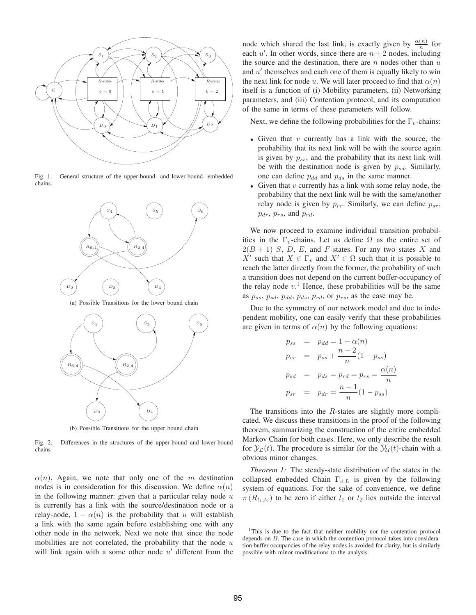

Fig. 1. General structure of the upper-bound- and lower-bound- embedded chains.



(a) Possible Transitions for the lower bound chain



(b) Possible Transitions for the upper bound chain

Fig. 2. Differences in the structures of the upper-bound and lower-bound chains

 $\alpha(n)$ . Again, we note that only one of the m destination nodes is in consideration for this discussion. We define  $\alpha(n)$ in the following manner: given that a particular relay node  $u$ is currently has a link with the source/destination node or a relay-node,  $1 - \alpha(n)$  is the probability that u will establish a link with the same again before establishing one with any other node in the network. Next we note that since the node mobilities are not correlated, the probability that the node  $u$ will link again with a some other node  $u'$  different from the

node which shared the last link, is exactly given by  $\frac{\alpha(n)}{n}$  for each  $u'$ . In other words, since there are  $n+2$  nodes, including the source and the destination, there are  $n$  nodes other than  $u$ and  $u'$  themselves and each one of them is equally likely to win the next link for node u. We will later proceed to find that  $\alpha(n)$ itself is a function of (i) Mobility parameters, (ii) Networking parameters, and (iii) Contention protocol, and its computation of the same in terms of these parameters will follow.

Next, we define the following probabilities for the  $\Gamma_v$ -chains:

- Given that  $v$  currently has a link with the source, the probability that its next link will be with the source again is given by  $p_{ss}$ , and the probability that its next link will be with the destination node is given by  $p_{sd}$ . Similarly, one can define  $p_{dd}$  and  $p_{ds}$  in the same manner.
- Given that  $v$  currently has a link with some relay node, the probability that the next link will be with the same/another relay node is given by  $p_{rr}$ . Similarly, we can define  $p_{sr}$ ,  $p_{dr}, p_{rs},$  and  $p_{rd}.$

We now proceed to examine individual transition probabilities in the  $\Gamma_v$ -chains. Let us define  $\Omega$  as the entire set of  $2(B + 1)$  S, D, E, and F-states. For any two states X and X' such that  $X \in \Gamma_v$  and  $X' \in \Omega$  such that it is possible to reach the latter directly from the former, the probability of such a transition does not depend on the current buffer-occupancy of the relay node  $v<sup>1</sup>$ . Hence, these probabilities will be the same as  $p_{ss}$ ,  $p_{sd}$ ,  $p_{dd}$ ,  $p_{ds}$ ,  $p_{rd}$ , or  $p_{rs}$ , as the case may be.

Due to the symmetry of our network model and due to independent mobility, one can easily verify that these probabilities are given in terms of  $\alpha(n)$  by the following equations:

$$
p_{ss} = p_{dd} = 1 - \alpha(n)
$$
  
\n
$$
p_{rr} = p_{ss} + \frac{n-2}{n}(1-p_{ss})
$$
  
\n
$$
p_{sd} = p_{ds} = p_{rd} = p_{rs} = \frac{\alpha(n)}{n}
$$
  
\n
$$
p_{sr} = p_{dr} = \frac{n-1}{n}(1-p_{ss})
$$

The transitions into the R-states are slightly more complicated. We discuss these transitions in the proof of the following theorem, summarizing the construction of the entire embedded Markov Chain for both cases. Here, we only describe the result for  $\mathcal{Y}_{\mathcal{L}}(t)$ . The procedure is similar for the  $\mathcal{Y}_{\mathcal{U}}(t)$ -chain with a obvious minor changes.

*Theorem 1:* The steady-state distribution of the states in the collapsed embedded Chain  $\Gamma_{v:L}$  is given by the following system of equations. For the sake of convenience, we define  $\pi(R_{l_1,l_2})$  to be zero if either  $l_1$  or  $l_2$  lies outside the interval

<sup>&</sup>lt;sup>1</sup>This is due to the fact that neither mobility nor the contention protocol depends on B. The case in which the contention protocol takes into consideration buffer occupancies of the relay nodes is avoided for clarity, but is similarly possible with minor modifications to the analysis.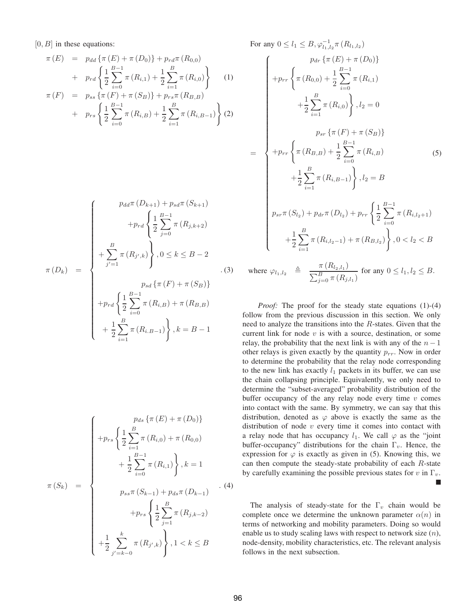[0, B] in these equations:

$$
\pi(E) = p_{dd} \{\pi(E) + \pi(D_0)\} + p_{rd} \pi(R_{0,0})
$$
  
+ 
$$
p_{rd} \left\{ \frac{1}{2} \sum_{i=0}^{B-1} \pi(R_{i,1}) + \frac{1}{2} \sum_{i=1}^{B} \pi(R_{i,0}) \right\}
$$
  

$$
\pi(F) = p_{ss} \{\pi(F) + \pi(S_B)\} + p_{rs} \pi(R_{B,B})
$$
  
+ 
$$
p_{rs} \left\{ \frac{1}{2} \sum_{i=1}^{B-1} \pi(R_{i,B}) + \frac{1}{2} \sum_{i=1}^{B} \pi(R_{i,B-1}) \right\}
$$
(2)

+ 
$$
p_{rs} \left\{ \frac{1}{2} \sum_{i=0}^{B-1} \pi(R_{i,B}) + \frac{1}{2} \sum_{i=1}^{B} \pi(R_{i,B-1}) \right\}
$$
 (2)

$$
\pi(D_k) = \begin{cases}\n p_{dd} \pi(D_{k+1}) + p_{sd} \pi(S_{k+1}) \\
 + p_{rd} \left\{ \frac{1}{2} \sum_{j=0}^{B-1} \pi(R_{j,k+2}) \right. \\
 + \sum_{j'=1}^{B} \pi(R_{j',k}) \right\}, 0 \le k \le B-2 \\
 p_{sd} \{\pi(F) + \pi(S_B)\} \\
 + p_{rd} \left\{ \frac{1}{2} \sum_{i=0}^{B-1} \pi(R_{i,B}) + \pi(R_{B,B}) \right. \\
 + \frac{1}{2} \sum_{i=1}^{B} \pi(R_{i,B-1}) \right\}, k = B-1\n\end{cases}
$$

$$
\pi(S_k) = \begin{cases}\n p_{ds} \{\pi(E) + \pi(D_0)\} \\
 + p_{rs} \left\{ \frac{1}{2} \sum_{i=1}^{B} \pi(R_{i,0}) + \pi(R_{0,0}) \\
 + \frac{1}{2} \sum_{i=0}^{B-1} \pi(R_{i,1}) \right\}, k = 1 \\
 p_{ss} \pi(S_{k-1}) + p_{ds} \pi(D_{k-1}) \\
 + p_{rs} \left\{ \frac{1}{2} \sum_{j=1}^{B} \pi(R_{j,k-2}) \\
 + \frac{1}{2} \sum_{j'=k-0}^{k} \pi(R_{j',k}) \right\}, 1 < k \leq B\n\end{cases}.
$$
\n(4)

For any 
$$
0 \le l_1 \le B
$$
,  $\varphi_{l_1, l_2}^{-1} \pi(R_{l_1, l_2})$   
\n
$$
\begin{aligned}\n&\qquad p_{dr} \{ \pi(E) + \pi(D_0) \} \\
&+ p_{rr} \left\{ \pi(R_{0,0}) + \frac{1}{2} \sum_{i=0}^{B-1} \pi(R_{i,1}) \\
&+ \frac{1}{2} \sum_{i=1}^{B} \pi(R_{i,0}) \right\}, l_2 = 0 \\
&\qquad p_{sr} \{ \pi(F) + \pi(S_B) \} \\
&+ p_{rr} \left\{ \pi(R_{B,B}) + \frac{1}{2} \sum_{i=0}^{B-1} \pi(R_{i,B}) \right\} \\
&+ \frac{1}{2} \sum_{i=1}^{B} \pi(R_{i,B-1}) \right\}, l_2 = B \\
&\qquad p_{sr} \pi(S_{l_2}) + p_{dr} \pi(D_{l_2}) + p_{rr} \left\{ \frac{1}{2} \sum_{i=0}^{B-1} \pi(R_{i,l_2+1}) \\
&+ \frac{1}{2} \sum_{i=1}^{B} \pi(R_{i,l_2-1}) + \pi(R_{B,l_2}) \right\}, 0 < l_2 < B \\
&\text{where } \varphi_{l_1, l_2} \triangleq \frac{\pi(R_{l_2, l_1})}{\sum_{j=0}^{B} \pi(R_{j, l_1})} \text{ for any } 0 \le l_1, l_2 \le B.\n\end{aligned}
$$

*Proof:* The proof for the steady state equations (1)-(4) follow from the previous discussion in this section. We only need to analyze the transitions into the R-states. Given that the current link for node  $v$  is with a source, destination, or some relay, the probability that the next link is with any of the  $n-1$ other relays is given exactly by the quantity  $p_{rr}$ . Now in order to determine the probability that the relay node corresponding to the new link has exactly  $l_1$  packets in its buffer, we can use the chain collapsing principle. Equivalently, we only need to determine the "subset-averaged" probability distribution of the buffer occupancy of the any relay node every time  $v$  comes into contact with the same. By symmetry, we can say that this distribution, denoted as  $\varphi$  above is exactly the same as the distribution of node  $v$  every time it comes into contact with a relay node that has occupancy  $l_1$ . We call  $\varphi$  as the "joint" buffer-occupancy" distributions for the chain  $\Gamma_v$ . Hence, the expression for  $\varphi$  is exactly as given in (5). Knowing this, we can then compute the steady-state probability of each  $R$ -state by carefully examining the possible previous states for v in  $\Gamma_v$ . П

The analysis of steady-state for the  $\Gamma_v$  chain would be complete once we determine the unknown parameter  $\alpha(n)$  in terms of networking and mobility parameters. Doing so would enable us to study scaling laws with respect to network size  $(n)$ , node-density, mobility characteristics, etc. The relevant analysis follows in the next subsection.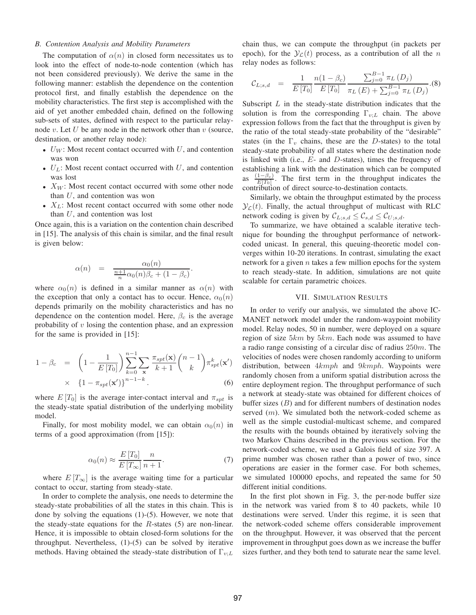#### *B. Contention Analysis and Mobility Parameters*

The computation of  $\alpha(n)$  in closed form necessitates us to look into the effect of node-to-node contention (which has not been considered previously). We derive the same in the following manner: establish the dependence on the contention protocol first, and finally establish the dependence on the mobility characteristics. The first step is accomplished with the aid of yet another embedded chain, defined on the following sub-sets of states, defined with respect to the particular relaynode  $v$ . Let  $U$  be any node in the network other than  $v$  (source, destination, or another relay node):

- $U_W$ : Most recent contact occurred with  $U$ , and contention was won
- $U_L$ : Most recent contact occurred with U, and contention was lost
- $X_W$ : Most recent contact occurred with some other node than  $U$ , and contention was won
- $X_L$ : Most recent contact occurred with some other node than  $U$ , and contention was lost

Once again, this is a variation on the contention chain described in [15]. The analysis of this chain is similar, and the final result is given below:

$$
\alpha(n) = \frac{\alpha_0(n)}{\frac{n+1}{n}\alpha_0(n)\beta_c + (1-\beta_c)}
$$

.

where  $\alpha_0(n)$  is defined in a similar manner as  $\alpha(n)$  with the exception that only a contact has to occur. Hence,  $\alpha_0(n)$ depends primarily on the mobility characteristics and has no dependence on the contention model. Here,  $\beta_c$  is the average probability of  $v$  losing the contention phase, and an expression for the same is provided in [15]:

$$
1 - \beta_c = \left(1 - \frac{1}{E[T_0]}\right) \sum_{k=0}^{n-1} \sum_{\mathbf{x}} \frac{\pi_{spt}(\mathbf{x})}{k+1} {n-1 \choose k} \pi_{spt}^k(\mathbf{x}')
$$
  
 
$$
\times \left\{1 - \pi_{spt}(\mathbf{x}')\right\}^{n-1-k}.
$$
 (6)

where  $E[T_0]$  is the average inter-contact interval and  $\pi_{spt}$  is the steady-state spatial distribution of the underlying mobility model.

Finally, for most mobility model, we can obtain  $\alpha_0(n)$  in terms of a good approximation (from [15]):

$$
\alpha_0(n) \approx \frac{E\left[T_0\right]}{E\left[T_\infty\right]} \frac{n}{n+1}.\tag{7}
$$

where  $E[T_\infty]$  is the average waiting time for a particular contact to occur, starting from steady-state.

In order to complete the analysis, one needs to determine the steady-state probabilities of all the states in this chain. This is done by solving the equations (1)-(5). However, we note that the steady-state equations for the  $R$ -states (5) are non-linear. Hence, it is impossible to obtain closed-form solutions for the throughput. Nevertheless, (1)-(5) can be solved by iterative methods. Having obtained the steady-state distribution of  $\Gamma_{v;L}$ 

chain thus, we can compute the throughput (in packets per epoch), for the  $\mathcal{Y}_c(t)$  process, as a contribution of all the n relay nodes as follows:

$$
\mathcal{C}_{L;s,d} = \frac{1}{E[T_0]} \frac{n(1-\beta_c)}{E[T_0]} \frac{\sum_{j=0}^{B-1} \pi_L(D_j)}{\pi_L(E) + \sum_{j=0}^{B-1} \pi_L(D_j)}.
$$
(8)

Subscript  $L$  in the steady-state distribution indicates that the solution is from the corresponding  $\Gamma_{v;L}$  chain. The above expression follows from the fact that the throughput is given by the ratio of the total steady-state probability of the "desirable" states (in the  $\Gamma_v$  chains, these are the D-states) to the total steady-state probability of all states where the destination node is linked with (i.e.,  $E$ - and  $D$ -states), times the frequency of establishing a link with the destination which can be computed as  $\frac{(1-\beta_c)}{E[T_0]}$ . The first term in the throughput indicates the contribution of direct source-to-destination contacts.

Similarly, we obtain the throughput estimated by the process  $\mathcal{Y}_\mathcal{L}(t)$ . Finally, the actual throughput of multicast with RLC network coding is given by  $\mathcal{C}_{L;s,d} \leq \mathcal{C}_{s,d} \leq \mathcal{C}_{U;s,d}$ .

To summarize, we have obtained a scalable iterative technique for bounding the throughput performance of networkcoded unicast. In general, this queuing-theoretic model converges within 10-20 iterations. In contrast, simulating the exact network for a given  $n$  takes a few million epochs for the system to reach steady-state. In addition, simulations are not quite scalable for certain parametric choices.

#### VII. SIMULATION RESULTS

In order to verify our analysis, we simulated the above IC-MANET network model under the random-waypoint mobility model. Relay nodes, 50 in number, were deployed on a square region of size  $5km$  by  $5km$ . Each node was assumed to have a radio range consisting of a circular disc of radius  $250m$ . The velocities of nodes were chosen randomly according to uniform distribution, between  $4kmph$  and  $9kmph$ . Waypoints were randomly chosen from a uniform spatial distribution across the entire deployment region. The throughput performance of such a network at steady-state was obtained for different choices of buffer sizes  $(B)$  and for different numbers of destination nodes served  $(m)$ . We simulated both the network-coded scheme as well as the simple custodial-multicast scheme, and compared the results with the bounds obtained by iteratively solving the two Markov Chains described in the previous section. For the network-coded scheme, we used a Galois field of size 397. A prime number was chosen rather than a power of two, since operations are easier in the former case. For both schemes, we simulated 100000 epochs, and repeated the same for 50 different initial conditions.

In the first plot shown in Fig. 3, the per-node buffer size in the network was varied from 8 to 40 packets, while 10 destinations were served. Under this regime, it is seen that the network-coded scheme offers considerable improvement on the throughput. However, it was observed that the percent improvement in throughput goes down as we increase the buffer sizes further, and they both tend to saturate near the same level.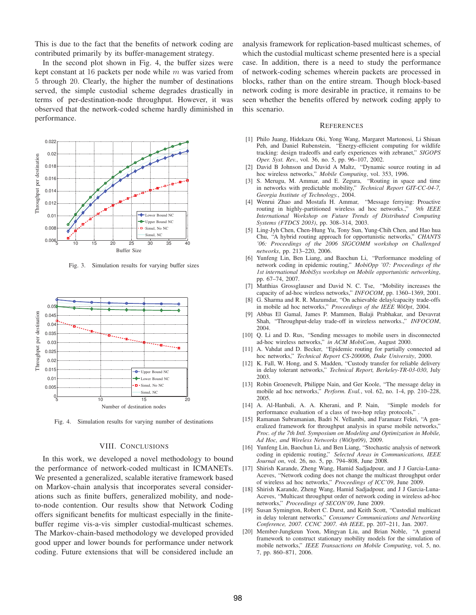This is due to the fact that the benefits of network coding are contributed primarily by its buffer-management strategy.

In the second plot shown in Fig. 4, the buffer sizes were kept constant at 16 packets per node while  $m$  was varied from 5 through 20. Clearly, the higher the number of destinations served, the simple custodial scheme degrades drastically in terms of per-destination-node throughput. However, it was observed that the network-coded scheme hardly diminished in performance.



Fig. 3. Simulation results for varying buffer sizes



Fig. 4. Simulation results for varying number of destinations

#### VIII. CONCLUSIONS

In this work, we developed a novel methodology to bound the performance of network-coded multicast in ICMANETs. We presented a generalized, scalable iterative framework based on Markov-chain analysis that incorporates several considerations such as finite buffers, generalized mobility, and nodeto-node contention. Our results show that Network Coding offers significant benefits for multicast especially in the finitebuffer regime vis-a-vis simpler custodial-multicast schemes. The Markov-chain-based methodology we developed provided good upper and lower bounds for performance under network coding. Future extensions that will be considered include an

analysis framework for replication-based multicast schemes, of which the custodial multicast scheme presented here is a special case. In addition, there is a need to study the performance of network-coding schemes wherein packets are processed in blocks, rather than on the entire stream. Though block-based network coding is more desirable in practice, it remains to be seen whether the benefits offered by network coding apply to this scenario.

#### **REFERENCES**

- [1] Philo Juang, Hidekazu Oki, Yong Wang, Margaret Martonosi, Li Shiuan Peh, and Daniel Rubenstein, "Energy-efficient computing for wildlife tracking: design tradeoffs and early experiences with zebranet," *SIGOPS Oper. Syst. Rev.*, vol. 36, no. 5, pp. 96–107, 2002.
- [2] David B Johnson and David A Maltz, "Dynamic source routing in ad hoc wireless networks," *Mobile Computing*, vol. 353, 1996.
- [3] S. Merugu, M. Ammar, and E. Zegura, "Routing in space and time in networks with predictable mobility," *Technical Report GIT-CC-04-7, Georgia Institute of Technology.*, 2004.
- [4] Wenrui Zhao and Mostafa H. Ammar, "Message ferrying: Proactive routing in highly-partitioned wireless ad hoc networks.," *9th IEEE International Workshop on Future Trends of Distributed Computing Systems (FTDCS 2003)*, pp. 308–314, 2003.
- [5] Ling-Jyh Chen, Chen-Hung Yu, Tony Sun, Yung-Chih Chen, and Hao hua Chu, "A hybrid routing approach for opportunistic networks," *CHANTS '06: Proceedings of the 2006 SIGCOMM workshop on Challenged networks*, pp. 213–220, 2006.
- [6] Yunfeng Lin, Ben Liang, and Baochun Li, "Performance modeling of network coding in epidemic routing," *MobiOpp '07: Proceedings of the 1st international MobiSys workshop on Mobile opportunistic networking*, pp. 67–74, 2007.
- [7] Matthias Grossglauser and David N. C. Tse, "Mobility increases the capacity of ad-hoc wireless networks," *INFOCOM*, pp. 1360–1369, 2001.
- [8] G. Sharma and R. R. Mazumdar, "On achievable delay/capacity trade-offs in mobile ad hoc networks," *Proceedings of the IEEE WiOpt*, 2004.
- [9] Abbas El Gamal, James P. Mammen, Balaji Prabhakar, and Devavrat Shah, "Throughput-delay trade-off in wireless networks.," *INFOCOM*, 2004.
- [10] Q. Li and D. Rus, "Sending messages to mobile users in disconnected ad-hoc wireless networks," *in ACM MobiCom*, August 2000.
- [11] A. Vahdat and D. Becker, "Epidemic routing for partially connected ad hoc networks," *Technical Report CS-200006, Duke University*, 2000.
- [12] K. Fall, W. Hong, and S. Madden, "Custody transfer for reliable delivery in delay tolerant networks," *Technical Report, Berkeley-TR-03-030*, July 2003.
- [13] Robin Groenevelt, Philippe Nain, and Ger Koole, "The message delay in mobile ad hoc networks," *Perform. Eval.*, vol. 62, no. 1-4, pp. 210–228, 2005.
- [14] A. Al-Hanbali, A. A. Kherani, and P. Nain, "Simple models for performance evaluation of a class of two-hop relay protocols," .
- [15] Ramanan Subramanian, Badri N. Vellambi, and Faramarz Fekri, "A generalized framework for throughput analysis in sparse mobile networks," *Proc. of the 7th Intl. Symposium on Modeling and Optimization in Mobile, Ad Hoc, and Wireless Networks (WiOpt09)*, 2009.
- [16] Yunfeng Lin, Baochun Li, and Ben Liang, "Stochastic analysis of network coding in epidemic routing," *Selected Areas in Communications, IEEE Journal on*, vol. 26, no. 5, pp. 794–808, June 2008.
- [17] Shirish Karande, Zheng Wang, Hamid Sadjadpour, and J J Garcia-Luna-Aceves, "Network coding does not change the multicast throughput order of wireless ad hoc networks," *Proceedings of ICC'09*, June 2009.
- [18] Shirish Karande, Zheng Wang, Hamid Sadjadpour, and J J Garcia-Luna-Aceves, "Multicast throughput order of network coding in wireless ad-hoc networks," *Proceedings of SECON'09*, June 2009.
- [19] Susan Symington, Robert C. Durst, and Keith Scott, "Custodial multicast" in delay tolerant networks," *Consumer Communications and Networking Conference, 2007. CCNC 2007. 4th IEEE*, pp. 207–211, Jan. 2007.
- [20] Member-Jungkeun Yoon, Mingyan Liu, and Brian Noble, "A general framework to construct stationary mobility models for the simulation of mobile networks," *IEEE Transactions on Mobile Computing*, vol. 5, no. 7, pp. 860–871, 2006.